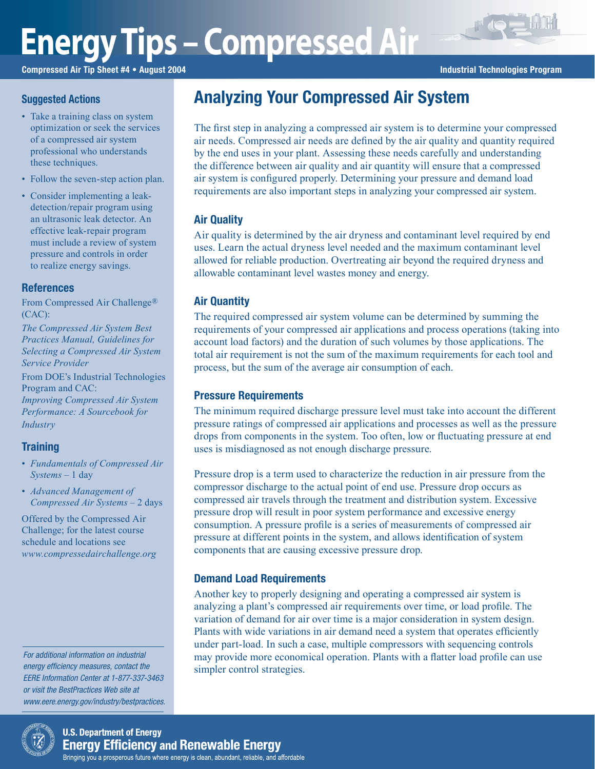# **Energy Tips – Compressed Air**

Compressed Air Tip Sheet #4 • August 2004 **Industrial Technologies Program** Industrial Technologies Program

## **Suggested Actions**

- Take a training class on system optimization or seek the services of a compressed air system professional who understands these techniques.
- Follow the seven-step action plan.
- Consider implementing a leakdetection/repair program using an ultrasonic leak detector. An effective leak-repair program must include a review of system pressure and controls in order to realize energy savings.

#### References

From Compressed Air Challenge® (CAC):

*The Compressed Air System Best Practices Manual, Guidelines for Selecting a Compressed Air System Service Provider*

From DOE's Industrial Technologies Program and CAC: *Improving Compressed Air System Performance: A Sourcebook for Industry*

# **Training**

- *Fundamentals of Compressed Air Systems* – 1 day
- *Advanced Management of Compressed Air Systems* – 2 days

Offered by the Compressed Air Challenge; for the latest course schedule and locations see *www.compressedairchallenge.org*

For additional information on industrial energy efficiency measures, contact the EERE Information Center at 1-877-337-3463 or visit the BestPractices Web site at www.eere.energy.gov/industry/bestpractices.



The first step in analyzing a compressed air system is to determine your compressed air needs. Compressed air needs are defined by the air quality and quantity required by the end uses in your plant. Assessing these needs carefully and understanding the difference between air quality and air quantity will ensure that a compressed air system is configured properly. Determining your pressure and demand load requirements are also important steps in analyzing your compressed air system.

# Air Quality

Air quality is determined by the air dryness and contaminant level required by end uses. Learn the actual dryness level needed and the maximum contaminant level allowed for reliable production. Overtreating air beyond the required dryness and allowable contaminant level wastes money and energy.

# Air Quantity

The required compressed air system volume can be determined by summing the requirements of your compressed air applications and process operations (taking into account load factors) and the duration of such volumes by those applications. The total air requirement is not the sum of the maximum requirements for each tool and process, but the sum of the average air consumption of each.

### Pressure Requirements

The minimum required discharge pressure level must take into account the different pressure ratings of compressed air applications and processes as well as the pressure drops from components in the system. Too often, low or fluctuating pressure at end uses is misdiagnosed as not enough discharge pressure.

Pressure drop is a term used to characterize the reduction in air pressure from the compressor discharge to the actual point of end use. Pressure drop occurs as compressed air travels through the treatment and distribution system. Excessive pressure drop will result in poor system performance and excessive energy consumption. A pressure profile is a series of measurements of compressed air pressure at different points in the system, and allows identification of system components that are causing excessive pressure drop.

### Demand Load Requirements

Another key to properly designing and operating a compressed air system is analyzing a plant's compressed air requirements over time, or load profile. The variation of demand for air over time is a major consideration in system design. Plants with wide variations in air demand need a system that operates efficiently under part-load. In such a case, multiple compressors with sequencing controls may provide more economical operation. Plants with a flatter load profile can use simpler control strategies.